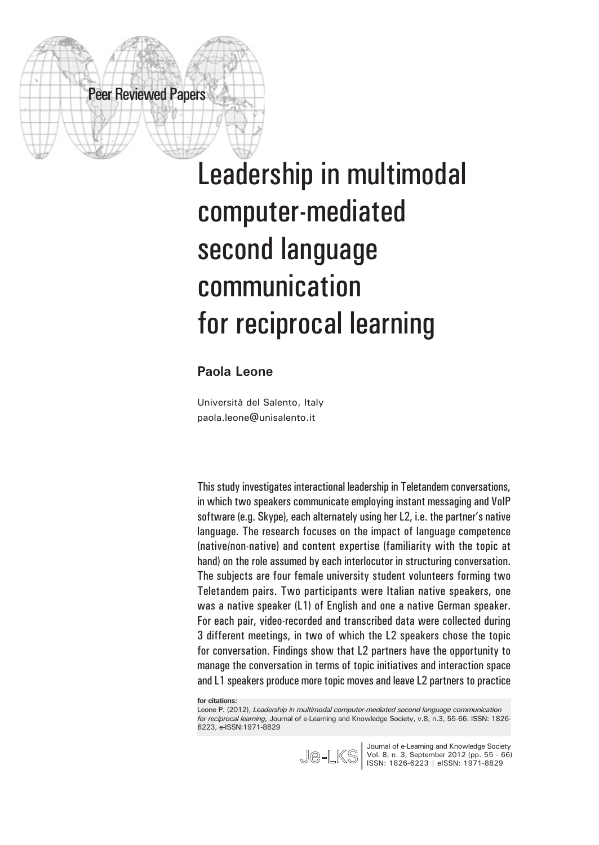# Leadership in multimodal computer-mediated second language communication for reciprocal learning

#### **Paola Leone**

Peer Reviewed Papers

Università del Salento, Italy paola.leone@unisalento.it

This study investigates interactional leadership in Teletandem conversations, in which two speakers communicate employing instant messaging and VoIP software (e.g. Skype), each alternately using her L2, i.e. the partner's native language. The research focuses on the impact of language competence (native/non-native) and content expertise (familiarity with the topic at hand) on the role assumed by each interlocutor in structuring conversation. The subjects are four female university student volunteers forming two Teletandem pairs. Two participants were Italian native speakers, one was a native speaker (L1) of English and one a native German speaker. For each pair, video-recorded and transcribed data were collected during 3 different meetings, in two of which the L2 speakers chose the topic for conversation. Findings show that L2 partners have the opportunity to manage the conversation in terms of topic initiatives and interaction space and L1 speakers produce more topic moves and leave L2 partners to practice

**for citations:**

Leone P. (2012), *Leadership in multimodal computer-mediated second language communication for reciprocal learning,* Journal of e-Learning and Knowledge Society, v.8, n.3, 55-66. ISSN: 1826- 6223, e-ISSN:1971-8829



Journal of e-Learning and Knowledge Society Vol. 8, n. 3, September 2012 (pp. 55 - 66) ISSN: 1826-6223 | eISSN: 1971-8829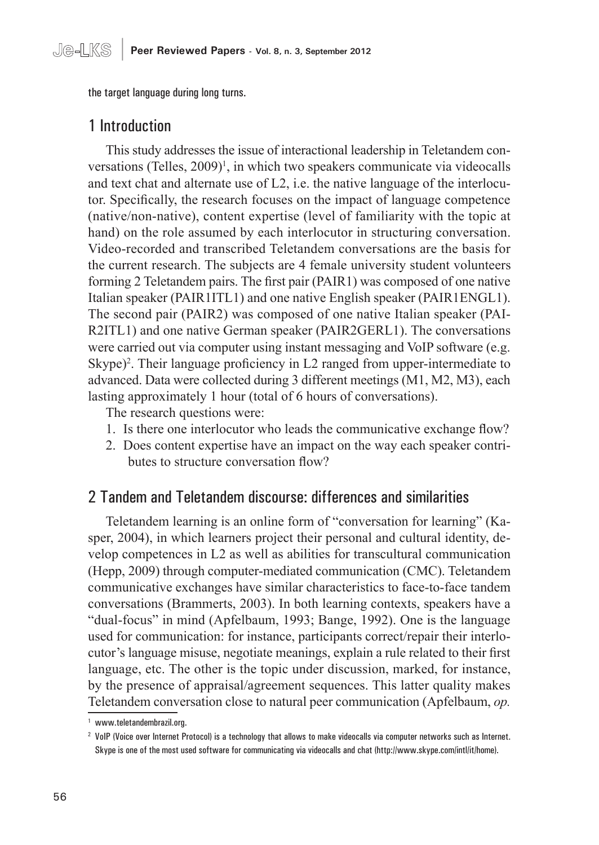the target language during long turns.

# 1 Introduction

This study addresses the issue of interactional leadership in Teletandem conversations (Telles,  $2009$ <sup> $\text{I}$ </sup>, in which two speakers communicate via videocalls and text chat and alternate use of L2, i.e. the native language of the interlocutor. Specifically, the research focuses on the impact of language competence (native/non-native), content expertise (level of familiarity with the topic at hand) on the role assumed by each interlocutor in structuring conversation. Video-recorded and transcribed Teletandem conversations are the basis for the current research. The subjects are 4 female university student volunteers forming 2 Teletandem pairs. The first pair (PAIR1) was composed of one native Italian speaker (PAIR1ITL1) and one native English speaker (PAIR1ENGL1). The second pair (PAIR2) was composed of one native Italian speaker (PAI-R2ITL1) and one native German speaker (PAIR2GERL1). The conversations were carried out via computer using instant messaging and VoIP software (e.g. Skype)<sup>2</sup>. Their language proficiency in L2 ranged from upper-intermediate to advanced. Data were collected during 3 different meetings (M1, M2, M3), each lasting approximately 1 hour (total of 6 hours of conversations).

The research questions were:

- 1. Is there one interlocutor who leads the communicative exchange flow?
- 2. Does content expertise have an impact on the way each speaker contributes to structure conversation flow?

# 2 Tandem and Teletandem discourse: differences and similarities

Teletandem learning is an online form of "conversation for learning" (Kasper, 2004), in which learners project their personal and cultural identity, develop competences in L2 as well as abilities for transcultural communication (Hepp, 2009) through computer-mediated communication (CMC). Teletandem communicative exchanges have similar characteristics to face-to-face tandem conversations (Brammerts, 2003). In both learning contexts, speakers have a "dual-focus" in mind (Apfelbaum, 1993; Bange, 1992). One is the language used for communication: for instance, participants correct/repair their interlocutor's language misuse, negotiate meanings, explain a rule related to their first language, etc. The other is the topic under discussion, marked, for instance, by the presence of appraisal/agreement sequences. This latter quality makes Teletandem conversation close to natural peer communication (Apfelbaum, *op.* 

<sup>1</sup> www.teletandembrazil.org.

<sup>2</sup> VoIP (Voice over Internet Protocol) is a technology that allows to make videocalls via computer networks such as Internet. Skype is one of the most used software for communicating via videocalls and chat (http://www.skype.com/intl/it/home).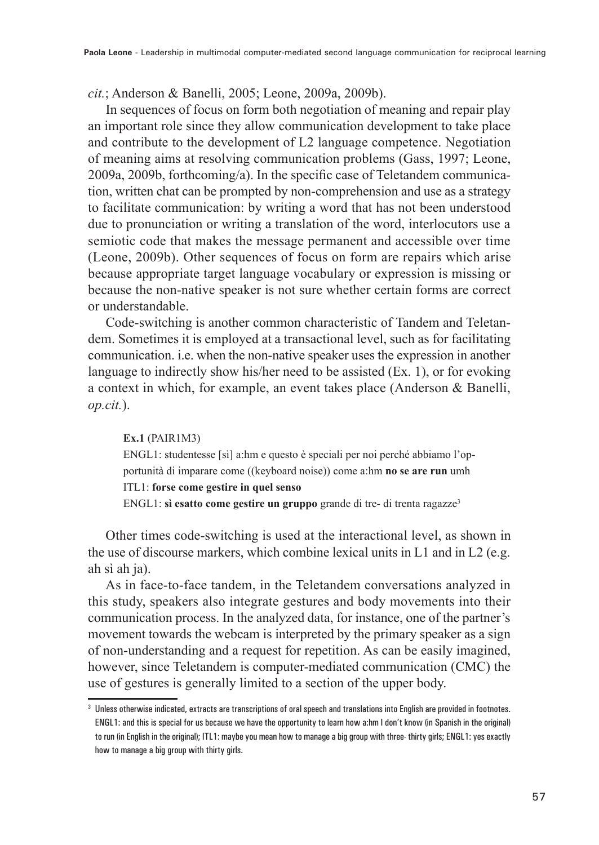#### *cit.*; Anderson & Banelli, 2005; Leone, 2009a, 2009b).

In sequences of focus on form both negotiation of meaning and repair play an important role since they allow communication development to take place and contribute to the development of L2 language competence. Negotiation of meaning aims at resolving communication problems (Gass, 1997; Leone, 2009a, 2009b, forthcoming/a). In the specific case of Teletandem communication, written chat can be prompted by non-comprehension and use as a strategy to facilitate communication: by writing a word that has not been understood due to pronunciation or writing a translation of the word, interlocutors use a semiotic code that makes the message permanent and accessible over time (Leone, 2009b). Other sequences of focus on form are repairs which arise because appropriate target language vocabulary or expression is missing or because the non-native speaker is not sure whether certain forms are correct or understandable.

Code-switching is another common characteristic of Tandem and Teletandem. Sometimes it is employed at a transactional level, such as for facilitating communication. i.e. when the non-native speaker uses the expression in another language to indirectly show his/her need to be assisted (Ex. 1), or for evoking a context in which, for example, an event takes place (Anderson & Banelli, *op.cit.*).

#### **Ex.1** (PAIR1M3)

ENGL1: studentesse [sì] a:hm e questo è speciali per noi perché abbiamo l'opportunità di imparare come ((keyboard noise)) come a:hm **no se are run** umh ITL1: **forse come gestire in quel senso**  ENGL1: **sì esatto come gestire un gruppo** grande di tre- di trenta ragazze3

Other times code-switching is used at the interactional level, as shown in the use of discourse markers, which combine lexical units in L1 and in L2 (e.g. ah sì ah ja).

As in face-to-face tandem, in the Teletandem conversations analyzed in this study, speakers also integrate gestures and body movements into their communication process. In the analyzed data, for instance, one of the partner's movement towards the webcam is interpreted by the primary speaker as a sign of non-understanding and a request for repetition. As can be easily imagined, however, since Teletandem is computer-mediated communication (CMC) the use of gestures is generally limited to a section of the upper body.

<sup>3</sup> Unless otherwise indicated, extracts are transcriptions of oral speech and translations into English are provided in footnotes. ENGL1: and this is special for us because we have the opportunity to learn how a:hm I don't know (in Spanish in the original) to run (in English in the original); ITL1: maybe you mean how to manage a big group with three- thirty girls; ENGL1: yes exactly how to manage a big group with thirty girls.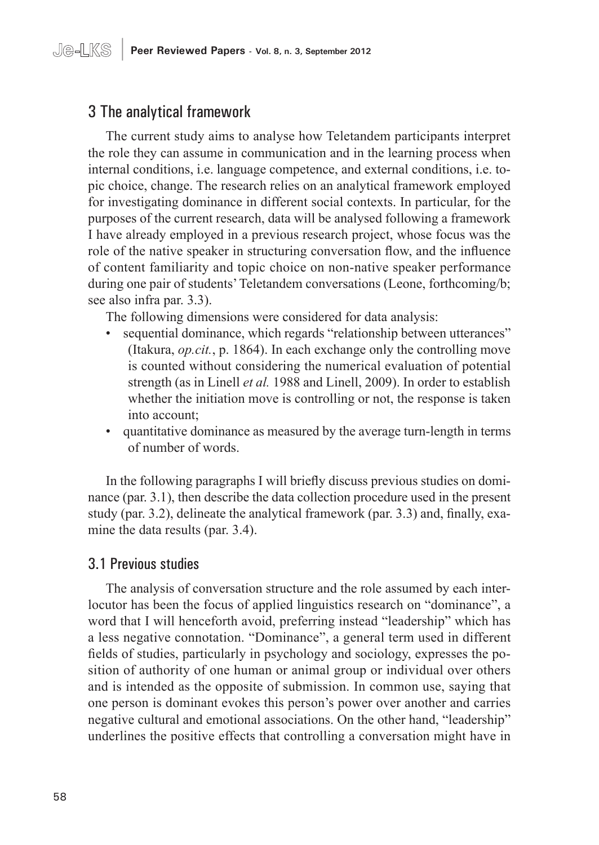# 3 The analytical framework

The current study aims to analyse how Teletandem participants interpret the role they can assume in communication and in the learning process when internal conditions, i.e. language competence, and external conditions, i.e. topic choice, change. The research relies on an analytical framework employed for investigating dominance in different social contexts. In particular, for the purposes of the current research, data will be analysed following a framework I have already employed in a previous research project, whose focus was the role of the native speaker in structuring conversation flow, and the influence of content familiarity and topic choice on non-native speaker performance during one pair of students' Teletandem conversations (Leone, forthcoming/b; see also infra par. 3.3).

The following dimensions were considered for data analysis:

- sequential dominance, which regards "relationship between utterances" (Itakura, *op.cit.*, p. 1864). In each exchange only the controlling move is counted without considering the numerical evaluation of potential strength (as in Linell *et al.* 1988 and Linell, 2009). In order to establish whether the initiation move is controlling or not, the response is taken into account;
- quantitative dominance as measured by the average turn-length in terms of number of words.

In the following paragraphs I will briefly discuss previous studies on dominance (par. 3.1), then describe the data collection procedure used in the present study (par. 3.2), delineate the analytical framework (par. 3.3) and, finally, examine the data results (par. 3.4).

# 3.1 Previous studies

The analysis of conversation structure and the role assumed by each interlocutor has been the focus of applied linguistics research on "dominance", a word that I will henceforth avoid, preferring instead "leadership" which has a less negative connotation. "Dominance", a general term used in different fields of studies, particularly in psychology and sociology, expresses the position of authority of one human or animal group or individual over others and is intended as the opposite of submission. In common use, saying that one person is dominant evokes this person's power over another and carries negative cultural and emotional associations. On the other hand, "leadership" underlines the positive effects that controlling a conversation might have in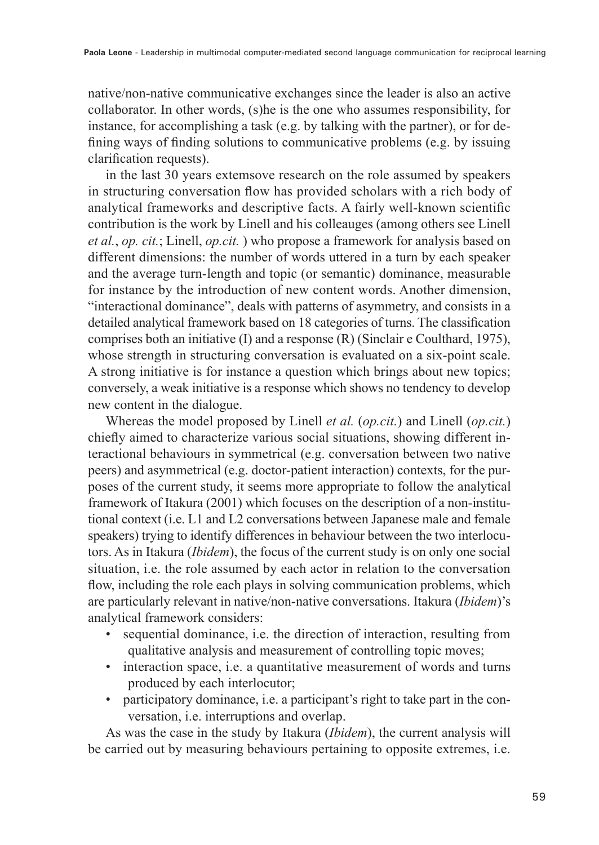native/non-native communicative exchanges since the leader is also an active collaborator. In other words, (s)he is the one who assumes responsibility, for instance, for accomplishing a task (e.g. by talking with the partner), or for defining ways of finding solutions to communicative problems (e.g. by issuing clarification requests).

in the last 30 years extemsove research on the role assumed by speakers in structuring conversation flow has provided scholars with a rich body of analytical frameworks and descriptive facts. A fairly well-known scientific contribution is the work by Linell and his colleauges (among others see Linell *et al.*, *op. cit.*; Linell, *op.cit.* ) who propose a framework for analysis based on different dimensions: the number of words uttered in a turn by each speaker and the average turn-length and topic (or semantic) dominance, measurable for instance by the introduction of new content words. Another dimension, "interactional dominance", deals with patterns of asymmetry, and consists in a detailed analytical framework based on 18 categories of turns. The classification comprises both an initiative (I) and a response (R) (Sinclair e Coulthard, 1975), whose strength in structuring conversation is evaluated on a six-point scale. A strong initiative is for instance a question which brings about new topics; conversely, a weak initiative is a response which shows no tendency to develop new content in the dialogue.

Whereas the model proposed by Linell *et al.* (*op.cit.*) and Linell (*op.cit.*) chiefly aimed to characterize various social situations, showing different interactional behaviours in symmetrical (e.g. conversation between two native peers) and asymmetrical (e.g. doctor-patient interaction) contexts, for the purposes of the current study, it seems more appropriate to follow the analytical framework of Itakura (2001) which focuses on the description of a non-institutional context (i.e. L1 and L2 conversations between Japanese male and female speakers) trying to identify differences in behaviour between the two interlocutors. As in Itakura (*Ibidem*), the focus of the current study is on only one social situation, i.e. the role assumed by each actor in relation to the conversation flow, including the role each plays in solving communication problems, which are particularly relevant in native/non-native conversations. Itakura (*Ibidem*)'s analytical framework considers:

- sequential dominance, i.e. the direction of interaction, resulting from qualitative analysis and measurement of controlling topic moves;
- interaction space, i.e. a quantitative measurement of words and turns produced by each interlocutor;
- participatory dominance, i.e. a participant's right to take part in the conversation, i.e. interruptions and overlap.

As was the case in the study by Itakura (*Ibidem*), the current analysis will be carried out by measuring behaviours pertaining to opposite extremes, i.e.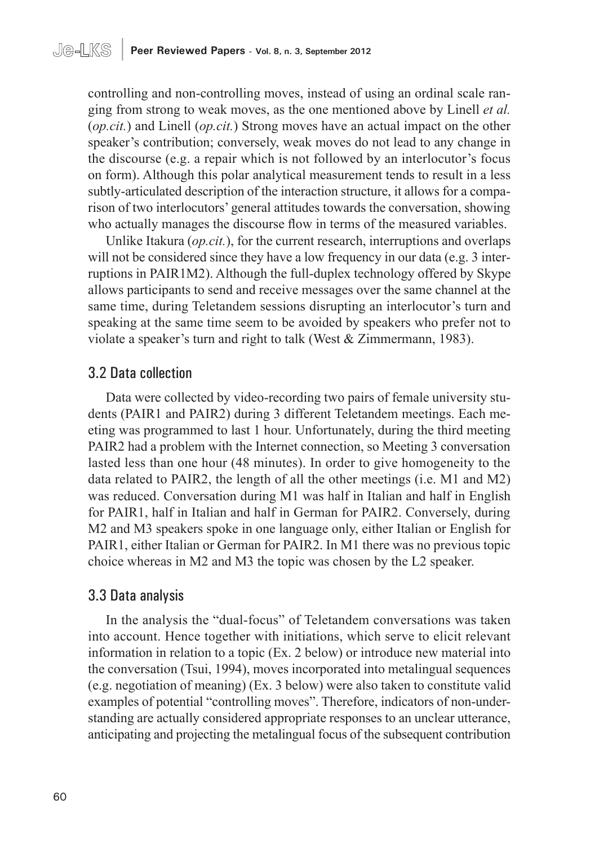controlling and non-controlling moves, instead of using an ordinal scale ranging from strong to weak moves, as the one mentioned above by Linell *et al.* (*op.cit.*) and Linell (*op.cit.*) Strong moves have an actual impact on the other speaker's contribution; conversely, weak moves do not lead to any change in the discourse (e.g. a repair which is not followed by an interlocutor's focus on form). Although this polar analytical measurement tends to result in a less subtly-articulated description of the interaction structure, it allows for a comparison of two interlocutors' general attitudes towards the conversation, showing who actually manages the discourse flow in terms of the measured variables.

Unlike Itakura (*op.cit.*), for the current research, interruptions and overlaps will not be considered since they have a low frequency in our data (e.g. 3 interruptions in PAIR1M2). Although the full-duplex technology offered by Skype allows participants to send and receive messages over the same channel at the same time, during Teletandem sessions disrupting an interlocutor's turn and speaking at the same time seem to be avoided by speakers who prefer not to violate a speaker's turn and right to talk (West & Zimmermann, 1983).

# 3.2 Data collection

Data were collected by video-recording two pairs of female university students (PAIR1 and PAIR2) during 3 different Teletandem meetings. Each meeting was programmed to last 1 hour. Unfortunately, during the third meeting PAIR2 had a problem with the Internet connection, so Meeting 3 conversation lasted less than one hour (48 minutes). In order to give homogeneity to the data related to PAIR2, the length of all the other meetings (i.e. M1 and M2) was reduced. Conversation during M1 was half in Italian and half in English for PAIR1, half in Italian and half in German for PAIR2. Conversely, during M2 and M3 speakers spoke in one language only, either Italian or English for PAIR1, either Italian or German for PAIR2. In M1 there was no previous topic choice whereas in M2 and M3 the topic was chosen by the L2 speaker.

### 3.3 Data analysis

In the analysis the "dual-focus" of Teletandem conversations was taken into account. Hence together with initiations, which serve to elicit relevant information in relation to a topic (Ex. 2 below) or introduce new material into the conversation (Tsui, 1994), moves incorporated into metalingual sequences (e.g. negotiation of meaning) (Ex. 3 below) were also taken to constitute valid examples of potential "controlling moves". Therefore, indicators of non-understanding are actually considered appropriate responses to an unclear utterance, anticipating and projecting the metalingual focus of the subsequent contribution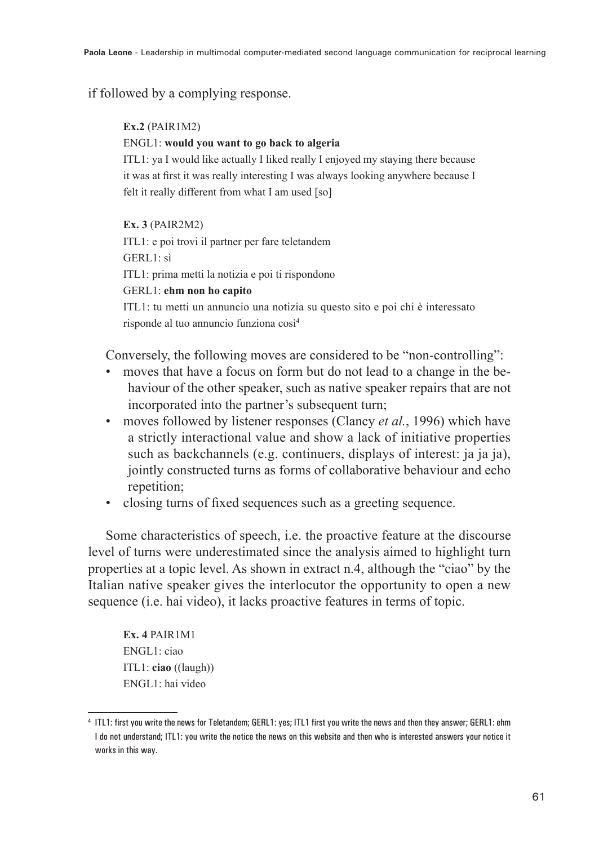#### if followed by a complying response.

#### **Ex.2** (PAIR1M2)

#### ENGL1: **would you want to go back to algeria**

ITL1: ya I would like actually I liked really I enjoyed my staying there because it was at first it was really interesting I was always looking anywhere because I felt it really different from what I am used [so]

#### **Ex. 3** (PAIR2M2)

ITL1: e poi trovi il partner per fare teletandem GERL1: sì ITL1: prima metti la notizia e poi ti rispondono GERL1: **ehm non ho capito**

ITL1: tu metti un annuncio una notizia su questo sito e poi chi è interessato risponde al tuo annuncio funziona così<sup>4</sup>

Conversely, the following moves are considered to be "non-controlling":

- moves that have a focus on form but do not lead to a change in the behaviour of the other speaker, such as native speaker repairs that are not incorporated into the partner's subsequent turn;
- moves followed by listener responses (Clancy *et al.*, 1996) which have a strictly interactional value and show a lack of initiative properties such as backchannels (e.g. continuers, displays of interest: ja ja ja), jointly constructed turns as forms of collaborative behaviour and echo repetition;
- closing turns of fixed sequences such as a greeting sequence.

Some characteristics of speech, i.e. the proactive feature at the discourse level of turns were underestimated since the analysis aimed to highlight turn properties at a topic level. As shown in extract n.4, although the "ciao" by the Italian native speaker gives the interlocutor the opportunity to open a new sequence (i.e. hai video), it lacks proactive features in terms of topic.

**Ex. 4** PAIR1M1 ENGL1: ciao ITL1: **ciao** ((laugh)) ENGL1: hai video

<sup>4</sup> ITL1: first you write the news for Teletandem; GERL1: yes; ITL1 first you write the news and then they answer; GERL1: ehm I do not understand; ITL1: you write the notice the news on this website and then who is interested answers your notice it works in this way.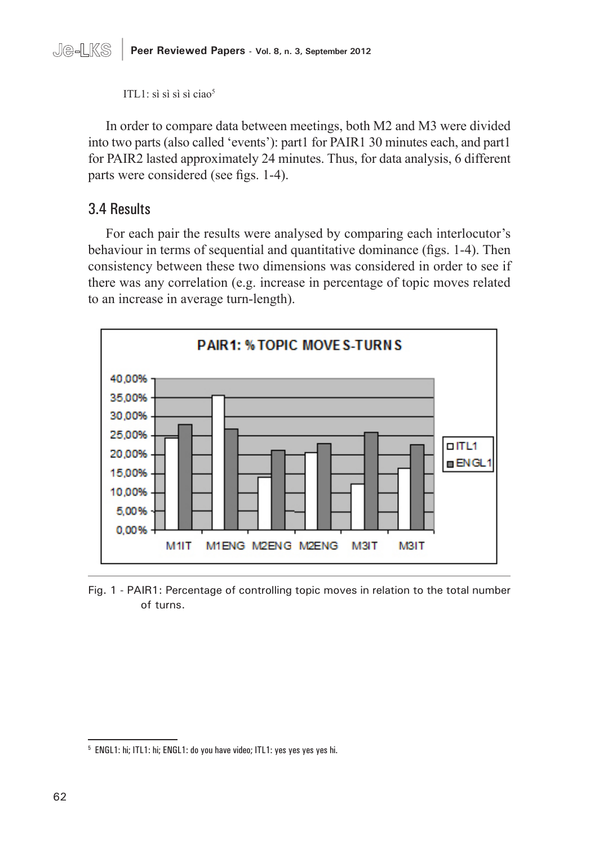

ITL $1$ : sì sì sì sì ciao<sup>5</sup>

In order to compare data between meetings, both M2 and M3 were divided into two parts (also called 'events'): part1 for PAIR1 30 minutes each, and part1 for PAIR2 lasted approximately 24 minutes. Thus, for data analysis, 6 different parts were considered (see figs. 1-4).

### 3.4 Results

For each pair the results were analysed by comparing each interlocutor's behaviour in terms of sequential and quantitative dominance (figs. 1-4). Then consistency between these two dimensions was considered in order to see if there was any correlation (e.g. increase in percentage of topic moves related to an increase in average turn-length).



Fig. 1 - PAIR1: Percentage of controlling topic moves in relation to the total number of turns.

<sup>5</sup> ENGL1: hi; ITL1: hi; ENGL1: do you have video; ITL1: yes yes yes yes hi.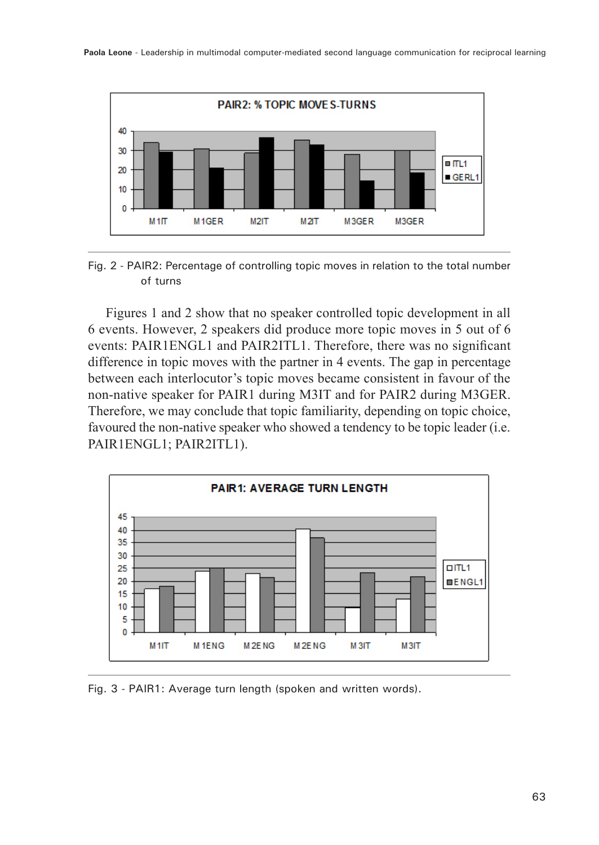

Fig. 2 - PAIR2: Percentage of controlling topic moves in relation to the total number of turns

Figures 1 and 2 show that no speaker controlled topic development in all 6 events. However, 2 speakers did produce more topic moves in 5 out of 6 events: PAIR1ENGL1 and PAIR2ITL1. Therefore, there was no significant difference in topic moves with the partner in 4 events. The gap in percentage between each interlocutor's topic moves became consistent in favour of the non-native speaker for PAIR1 during M3IT and for PAIR2 during M3GER. Therefore, we may conclude that topic familiarity, depending on topic choice, favoured the non-native speaker who showed a tendency to be topic leader (i.e. PAIR1ENGL1; PAIR2ITL1).



Fig. 3 - PAIR1: Average turn length (spoken and written words).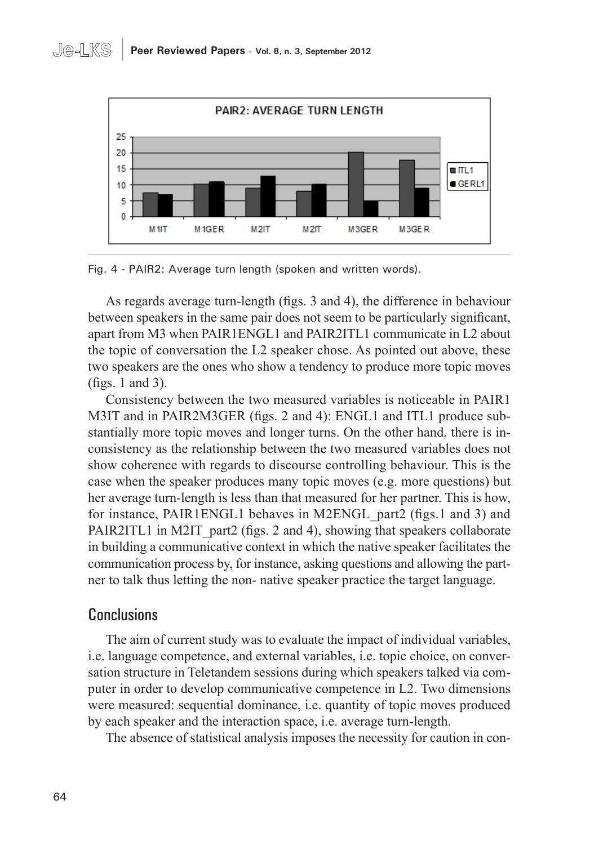

Fig. 4 - PAIR2: Average turn length (spoken and written words).

As regards average turn-length (figs. 3 and 4), the difference in behaviour between speakers in the same pair does not seem to be particularly significant, apart from M3 when PAIR1ENGL1 and PAIR2ITL1 communicate in L2 about the topic of conversation the L2 speaker chose. As pointed out above, these two speakers are the ones who show a tendency to produce more topic moves (figs. 1 and 3).

Consistency between the two measured variables is noticeable in PAIR1 M3IT and in PAIR2M3GER (figs. 2 and 4): ENGL1 and ITL1 produce substantially more topic moves and longer turns. On the other hand, there is inconsistency as the relationship between the two measured variables does not show coherence with regards to discourse controlling behaviour. This is the case when the speaker produces many topic moves (e.g. more questions) but her average turn-length is less than that measured for her partner. This is how, for instance, PAIR1ENGL1 behaves in M2ENGL\_part2 (figs.1 and 3) and PAIR2ITL1 in M2IT part2 (figs. 2 and 4), showing that speakers collaborate in building a communicative context in which the native speaker facilitates the communication process by, for instance, asking questions and allowing the partner to talk thus letting the non- native speaker practice the target language.

# Conclusions

The aim of current study was to evaluate the impact of individual variables, i.e. language competence, and external variables, i.e. topic choice, on conversation structure in Teletandem sessions during which speakers talked via computer in order to develop communicative competence in L2. Two dimensions were measured: sequential dominance, i.e. quantity of topic moves produced by each speaker and the interaction space, i.e. average turn-length.

The absence of statistical analysis imposes the necessity for caution in con-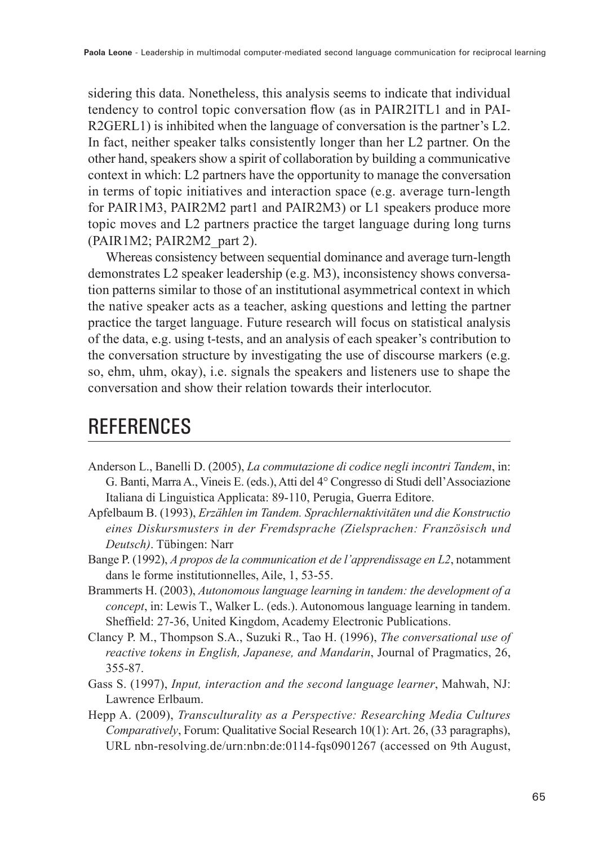sidering this data. Nonetheless, this analysis seems to indicate that individual tendency to control topic conversation flow (as in PAIR2ITL1 and in PAI-R2GERL1) is inhibited when the language of conversation is the partner's L2. In fact, neither speaker talks consistently longer than her L2 partner. On the other hand, speakers show a spirit of collaboration by building a communicative context in which: L2 partners have the opportunity to manage the conversation in terms of topic initiatives and interaction space (e.g. average turn-length for PAIR1M3, PAIR2M2 part1 and PAIR2M3) or L1 speakers produce more topic moves and L2 partners practice the target language during long turns (PAIR1M2; PAIR2M2\_part 2).

Whereas consistency between sequential dominance and average turn-length demonstrates L2 speaker leadership (e.g. M3), inconsistency shows conversation patterns similar to those of an institutional asymmetrical context in which the native speaker acts as a teacher, asking questions and letting the partner practice the target language. Future research will focus on statistical analysis of the data, e.g. using t-tests, and an analysis of each speaker's contribution to the conversation structure by investigating the use of discourse markers (e.g. so, ehm, uhm, okay), i.e. signals the speakers and listeners use to shape the conversation and show their relation towards their interlocutor.

# **REFERENCES**

- Anderson L., Banelli D. (2005), *La commutazione di codice negli incontri Tandem*, in: G. Banti, Marra A., Vineis E. (eds.), Atti del 4° Congresso di Studi dell'Associazione Italiana di Linguistica Applicata: 89-110, Perugia, Guerra Editore.
- Apfelbaum B. (1993), *Erzählen im Tandem. Sprachlernaktivitäten und die Konstructio eines Diskursmusters in der Fremdsprache (Zielsprachen: Französisch und Deutsch)*. Tübingen: Narr
- Bange P. (1992), *A propos de la communication et de l'apprendissage en L2*, notamment dans le forme institutionnelles, Aile, 1, 53-55.
- Brammerts H. (2003), *Autonomous language learning in tandem: the development of a concept*, in: Lewis T., Walker L. (eds.). Autonomous language learning in tandem. Sheffield: 27-36, United Kingdom, Academy Electronic Publications.
- Clancy P. M., Thompson S.A., Suzuki R., Tao H. (1996), *The conversational use of reactive tokens in English, Japanese, and Mandarin*, Journal of Pragmatics, 26, 355-87.
- Gass S. (1997), *Input, interaction and the second language learner*, Mahwah, NJ: Lawrence Erlbaum.
- Hepp A. (2009), *Transculturality as a Perspective: Researching Media Cultures Comparatively*, Forum: Qualitative Social Research 10(1): Art. 26, (33 paragraphs), URL nbn-resolving.de/urn:nbn:de:0114-fqs0901267 (accessed on 9th August,